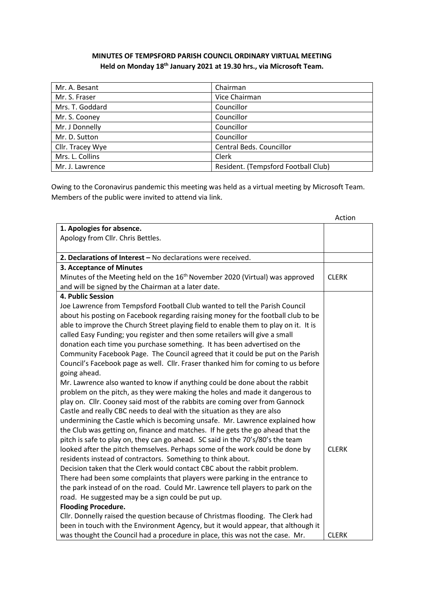## **MINUTES OF TEMPSFORD PARISH COUNCIL ORDINARY VIRTUAL MEETING Held on Monday 18th January 2021 at 19.30 hrs., via Microsoft Team.**

| Mr. A. Besant    | Chairman                            |
|------------------|-------------------------------------|
| Mr. S. Fraser    | Vice Chairman                       |
| Mrs. T. Goddard  | Councillor                          |
| Mr. S. Cooney    | Councillor                          |
| Mr. J Donnelly   | Councillor                          |
| Mr. D. Sutton    | Councillor                          |
| Cllr. Tracey Wye | Central Beds. Councillor            |
| Mrs. L. Collins  | Clerk                               |
| Mr. J. Lawrence  | Resident. (Tempsford Football Club) |

Owing to the Coronavirus pandemic this meeting was held as a virtual meeting by Microsoft Team. Members of the public were invited to attend via link.

|                                                                                          | Action       |
|------------------------------------------------------------------------------------------|--------------|
| 1. Apologies for absence.                                                                |              |
| Apology from Cllr. Chris Bettles.                                                        |              |
|                                                                                          |              |
| 2. Declarations of Interest - No declarations were received.                             |              |
| 3. Acceptance of Minutes                                                                 |              |
| Minutes of the Meeting held on the 16 <sup>th</sup> November 2020 (Virtual) was approved | <b>CLERK</b> |
| and will be signed by the Chairman at a later date.                                      |              |
| 4. Public Session                                                                        |              |
| Joe Lawrence from Tempsford Football Club wanted to tell the Parish Council              |              |
| about his posting on Facebook regarding raising money for the football club to be        |              |
| able to improve the Church Street playing field to enable them to play on it. It is      |              |
| called Easy Funding; you register and then some retailers will give a small              |              |
| donation each time you purchase something. It has been advertised on the                 |              |
| Community Facebook Page. The Council agreed that it could be put on the Parish           |              |
| Council's Facebook page as well. Cllr. Fraser thanked him for coming to us before        |              |
| going ahead.                                                                             |              |
| Mr. Lawrence also wanted to know if anything could be done about the rabbit              |              |
| problem on the pitch, as they were making the holes and made it dangerous to             |              |
| play on. Cllr. Cooney said most of the rabbits are coming over from Gannock              |              |
| Castle and really CBC needs to deal with the situation as they are also                  |              |
| undermining the Castle which is becoming unsafe. Mr. Lawrence explained how              |              |
| the Club was getting on, finance and matches. If he gets the go ahead that the           |              |
| pitch is safe to play on, they can go ahead. SC said in the 70's/80's the team           |              |
| looked after the pitch themselves. Perhaps some of the work could be done by             | <b>CLERK</b> |
| residents instead of contractors. Something to think about.                              |              |
| Decision taken that the Clerk would contact CBC about the rabbit problem.                |              |
| There had been some complaints that players were parking in the entrance to              |              |
| the park instead of on the road. Could Mr. Lawrence tell players to park on the          |              |
| road. He suggested may be a sign could be put up.                                        |              |
| <b>Flooding Procedure.</b>                                                               |              |
| Cllr. Donnelly raised the question because of Christmas flooding. The Clerk had          |              |
| been in touch with the Environment Agency, but it would appear, that although it         |              |
| was thought the Council had a procedure in place, this was not the case. Mr.             | <b>CLERK</b> |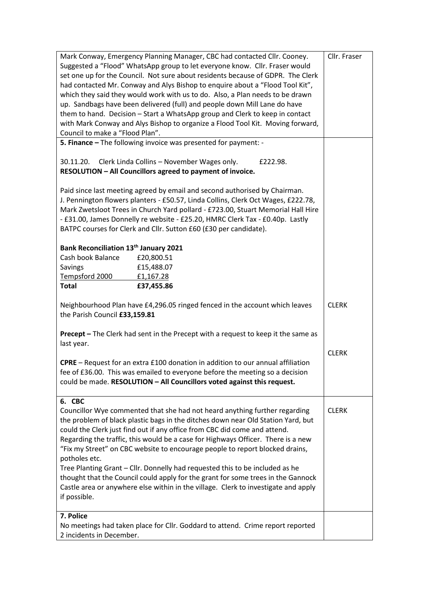| Mark Conway, Emergency Planning Manager, CBC had contacted Cllr. Cooney.                 | Cllr. Fraser |  |
|------------------------------------------------------------------------------------------|--------------|--|
| Suggested a "Flood" WhatsApp group to let everyone know. Cllr. Fraser would              |              |  |
|                                                                                          |              |  |
| set one up for the Council. Not sure about residents because of GDPR. The Clerk          |              |  |
| had contacted Mr. Conway and Alys Bishop to enquire about a "Flood Tool Kit",            |              |  |
| which they said they would work with us to do. Also, a Plan needs to be drawn            |              |  |
| up. Sandbags have been delivered (full) and people down Mill Lane do have                |              |  |
| them to hand. Decision - Start a WhatsApp group and Clerk to keep in contact             |              |  |
| with Mark Conway and Alys Bishop to organize a Flood Tool Kit. Moving forward,           |              |  |
| Council to make a "Flood Plan".                                                          |              |  |
|                                                                                          |              |  |
| 5. Finance - The following invoice was presented for payment: -                          |              |  |
|                                                                                          |              |  |
| Clerk Linda Collins - November Wages only.<br>30.11.20.<br>£222.98.                      |              |  |
| RESOLUTION - All Councillors agreed to payment of invoice.                               |              |  |
|                                                                                          |              |  |
| Paid since last meeting agreed by email and second authorised by Chairman.               |              |  |
| J. Pennington flowers planters - £50.57, Linda Collins, Clerk Oct Wages, £222.78,        |              |  |
| Mark Zwetsloot Trees in Church Yard pollard - £723.00, Stuart Memorial Hall Hire         |              |  |
| - £31.00, James Donnelly re website - £25.20, HMRC Clerk Tax - £0.40p. Lastly            |              |  |
|                                                                                          |              |  |
| BATPC courses for Clerk and Cllr. Sutton £60 (£30 per candidate).                        |              |  |
|                                                                                          |              |  |
| Bank Reconciliation 13th January 2021                                                    |              |  |
| Cash book Balance<br>£20,800.51                                                          |              |  |
| £15,488.07<br>Savings                                                                    |              |  |
| Tempsford 2000<br>£1,167.28                                                              |              |  |
| <b>Total</b><br>£37,455.86                                                               |              |  |
|                                                                                          |              |  |
| Neighbourhood Plan have £4,296.05 ringed fenced in the account which leaves              | <b>CLERK</b> |  |
| the Parish Council £33,159.81                                                            |              |  |
|                                                                                          |              |  |
| <b>Precept</b> - The Clerk had sent in the Precept with a request to keep it the same as |              |  |
|                                                                                          |              |  |
| last year.                                                                               |              |  |
|                                                                                          | <b>CLERK</b> |  |
| <b>CPRE</b> – Request for an extra £100 donation in addition to our annual affiliation   |              |  |
| fee of £36.00. This was emailed to everyone before the meeting so a decision             |              |  |
| could be made. RESOLUTION - All Councillors voted against this request.                  |              |  |
|                                                                                          |              |  |
| 6. CBC                                                                                   |              |  |
| Councillor Wye commented that she had not heard anything further regarding               | <b>CLERK</b> |  |
| the problem of black plastic bags in the ditches down near Old Station Yard, but         |              |  |
|                                                                                          |              |  |
| could the Clerk just find out if any office from CBC did come and attend.                |              |  |
| Regarding the traffic, this would be a case for Highways Officer. There is a new         |              |  |
| "Fix my Street" on CBC website to encourage people to report blocked drains,             |              |  |
| potholes etc.                                                                            |              |  |
| Tree Planting Grant - Cllr. Donnelly had requested this to be included as he             |              |  |
| thought that the Council could apply for the grant for some trees in the Gannock         |              |  |
| Castle area or anywhere else within in the village. Clerk to investigate and apply       |              |  |
|                                                                                          |              |  |
| if possible.                                                                             |              |  |
|                                                                                          |              |  |
| 7. Police                                                                                |              |  |
| No meetings had taken place for Cllr. Goddard to attend. Crime report reported           |              |  |
| 2 incidents in December.                                                                 |              |  |